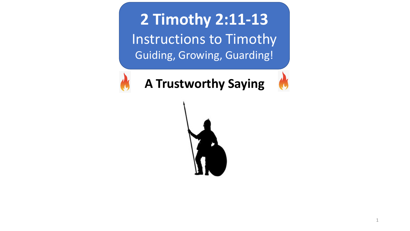**2 Timothy 2:11-13** Instructions to Timothy Guiding, Growing, Guarding!



**A Trustworthy Saying** 

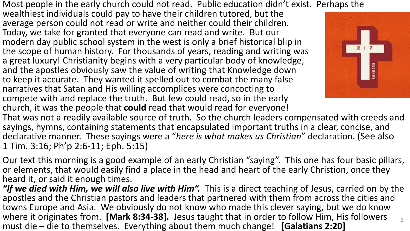Most people in the early church could not read. Public education didn't exist. Perhaps the

wealthiest individuals could pay to have their children tutored, but the average person could not read or write and neither could their children. Today, we take for granted that everyone can read and write. But our modern day public school system in the west is only a brief historical blip in the scope of human history. For thousands of years, reading and writing was a great luxury! Christianity begins with a very particular body of knowledge, and the apostles obviously saw the value of writing that Knowledge down to keep it accurate. They wanted it spelled out to combat the many false narratives that Satan and His willing accomplices were concocting to compete with and replace the truth. But few could read, so in the early church, it was the people that **could** read that would read for everyone!



That was not a readily available source of truth. So the church leaders compensated with creeds and sayings, hymns, containing statements that encapsulated important truths in a clear, concise, and declarative manner. These sayings were a "*here is what makes us Christian*" declaration. (See also 1 Tim. 3:16; Ph'p 2:6-11; Eph. 5:15)

Our text this morning is a good example of an early Christian "saying". This one has four basic pillars, or elements, that would easily find a place in the head and heart of the early Christion, once they heard it, or said it enough times.

*"If we died with Him, we will also live with Him".* This is a direct teaching of Jesus, carried on by the apostles and the Christian pastors and leaders that partnered with them from across the cities and towns Europe and Asia. We obviously do not know who made this clever saying, but we do know where it originates from. **[Mark 8:34-38].** Jesus taught that in order to follow Him, His followers must die – die to themselves. Everything about them much change! **[Galatians 2:20]** 2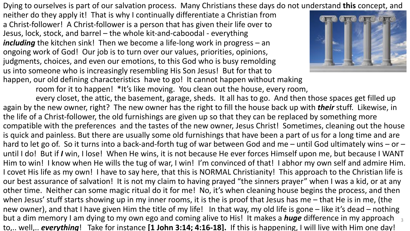Dying to ourselves is part of our salvation process. Many Christians these days do not understand **this** concept, and

neither do they apply it! That is why I continually differentiate a Christian from a Christ-follower! A Christ-follower is a person that has given their life over to Jesus, lock, stock, and barrel – the whole kit-and-caboodal - everything *including* the kitchen sink! Then we become a life-long work in progress – an ongoing work of God! Our job is to turn over our values, priorities, opinions, judgments, choices, and even our emotions, to this God who is busy remolding us into someone who is increasingly resembling His Son Jesus! But for that to happen, our old defining characteristics have to go! It cannot happen without making



room for it to happen! \*It's like moving. You clean out the house, every room,

every closet, the attic, the basement, garage, sheds. It all has to go. And then those spaces get filled up again by the new owner, right? The new owner has the right to fill the house back up with *their* stuff. Likewise, in the life of a Christ-follower, the old furnishings are given up so that they can be replaced by something more compatible with the preferences and the tastes of the new owner, Jesus Christ! Sometimes, cleaning out the house is quick and painless. But there are usually some old furnishings that have been a part of us for a long time and are hard to let go of. So it turns into a back-and-forth tug of war between God and me – until God ultimately wins – or – until I do! But if *I* win, I lose! When He wins, it is not because He ever forces Himself upon me, but because I WANT Him to win! I know when He wills the tug of war, I win! I'm convinced of that! I abhor my own self and admire Him. I covet His life as my own! I have to say here, that this is NORMAL Christianity! This approach to the Christian life is our best assurance of salvation! It is not my claim to having prayed "the sinners prayer" when I was a kid, or at any other time. Neither can some magic ritual do it for me! No, it's when cleaning house begins the process, and then when Jesus' stuff starts showing up in my inner rooms, it is the is proof that Jesus has me – that He is in me, (the new owner), and that I have given Him the title of my life! In that way, my old life is gone – like it's dead – nothing but a dim memory I am dying to my own ego and coming alive to His! It makes a *huge* difference in my approach <sub>3</sub> to,.. well,.. *everything*! Take for instance **[1 John 3:14; 4:16-18].** If this is happening, I will live with Him one day!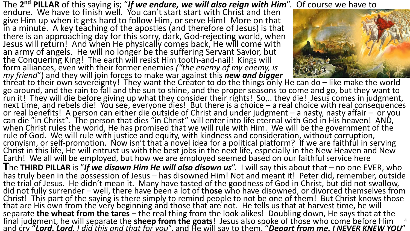The **2nd PILLAR** of this saying is; "*If we endure, we will also reign with Him*". Of course we have to

endure. We have to finish well. You can't start start with Christ and then give Him up when it gets hard to follow Him, or serve Him! More on that in a minute. A key teaching of the apostles (and therefore of Jesus) is that there is an approaching day for this sorry, dark, God-rejecting world, when Jesus will return! And when He physically comes back, He will come with an army of angels. He will no longer be the suffering Servant Savior, but the Conquering King! The earth will resist Him tooth-and-nail! Kings will form alliances, even with their former enemies ("the enemy of my enemy, is<br>
my friend") and they will join forces to make war against this **new and bigger**<br>
threat to their own sovereignty! They want the Creator to do the



go around, and the rain to fall and the sun to shine, and the proper seasons to come and go, but they want to run it! They will die before giving up what they consider their rights! So,.. they die! Jesus comes in judgment,<br>next time, and rebels die! You see, everyone dies! But there is a choice – a real choice with real consequenc or real benefits! A person can either die outside of Christ and under judgment – a nasty, nasty affair – or you<br>can die "in Christ". The person that dies "in Christ" will enter into life eternal with God in His heaven! AND when Christ rules the world, He has promised that we will rule with Him. We will be the government of the rule of God. We will rule with justice and equity, with kindness and consideration, without corruption,<br>cronyism, or self-promotion. Now isn't that a novel idea for a political platform? If we are faithful in serving Christ in this life, He will entrust us with the best jobs in the next life, especially in the New Heaven and New Earth! We all will be employed, but how we are employed seemed based on our faithful service here **T**he **THIRD PILLAR** is "*If we disown Him He will also disown us*". I will say this about that – no one EVER, who has truly been in the possession of Jesus – has disowned Him! Not and meant it! Peter did, remember, outside the trial of Jesus. He didn't mean it. Many have tasted of the goodness of God in Christ, but did not swallow, did not fully surrender – well, there have been a lot of **those** who have disowned, or divorced themselves from Christ! This part of the saying is there simply to remind people to not be one of them! But Christ knows those that are His own from the very beginning and those that are not. He tells us that at harvest time, he will<br>separate **the wheat from the tares** – the real thing from the look-alikes! Doubling down, He says that at the final judgment, he will separate the **sheep from the goats**! Jesus also spoke of those who come before Him the and that the sheep from the goats! Jesus also spoke of those who come before Him the and that for you".<br>And cry 4